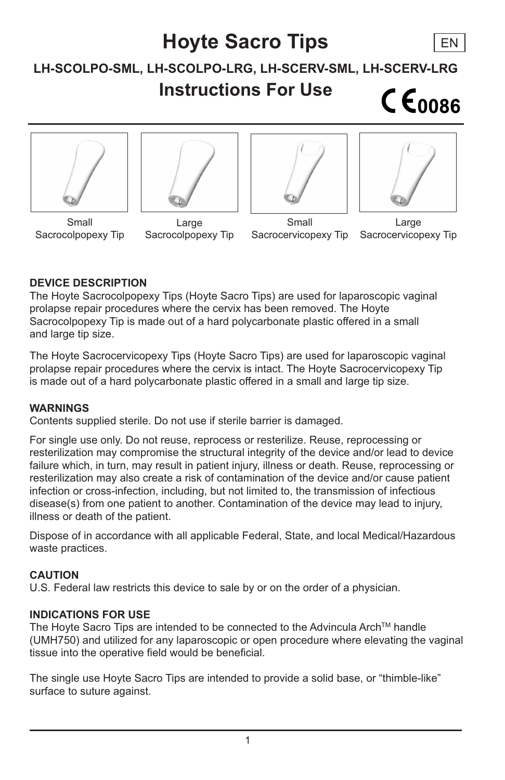## **Hoyte Sacro Tips** EN**LH-SCOLPO-SML, LH-SCOLPO-LRG, LH-SCERV-SML, LH-SCERV-LRG Instructions For Use**  $CE<sub>0086</sub>$









Small Sacrocolpopexy Tip

Large Sacrocolpopexy Tip

Small Sacrocervicopexy Tip

Large Sacrocervicopexy Tip

## **DEVICE DESCRIPTION**

The Hoyte Sacrocolpopexy Tips (Hoyte Sacro Tips) are used for laparoscopic vaginal prolapse repair procedures where the cervix has been removed. The Hoyte Sacrocolpopexy Tip is made out of a hard polycarbonate plastic offered in a small and large tip size.

The Hoyte Sacrocervicopexy Tips (Hoyte Sacro Tips) are used for laparoscopic vaginal prolapse repair procedures where the cervix is intact. The Hoyte Sacrocervicopexy Tip is made out of a hard polycarbonate plastic offered in a small and large tip size.

#### **WARNINGS**

Contents supplied sterile. Do not use if sterile barrier is damaged.

For single use only. Do not reuse, reprocess or resterilize. Reuse, reprocessing or resterilization may compromise the structural integrity of the device and/or lead to device failure which, in turn, may result in patient injury, illness or death. Reuse, reprocessing or resterilization may also create a risk of contamination of the device and/or cause patient infection or cross-infection, including, but not limited to, the transmission of infectious disease(s) from one patient to another. Contamination of the device may lead to injury, illness or death of the patient.

Dispose of in accordance with all applicable Federal, State, and local Medical/Hazardous waste practices.

#### **CAUTION**

U.S. Federal law restricts this device to sale by or on the order of a physician.

#### **INDICATIONS FOR USE**

The Hoyte Sacro Tips are intended to be connected to the Advincula Arch™ handle (UMH750) and utilized for any laparoscopic or open procedure where elevating the vaginal tissue into the operative field would be beneficial.

The single use Hoyte Sacro Tips are intended to provide a solid base, or "thimble-like" surface to suture against.

1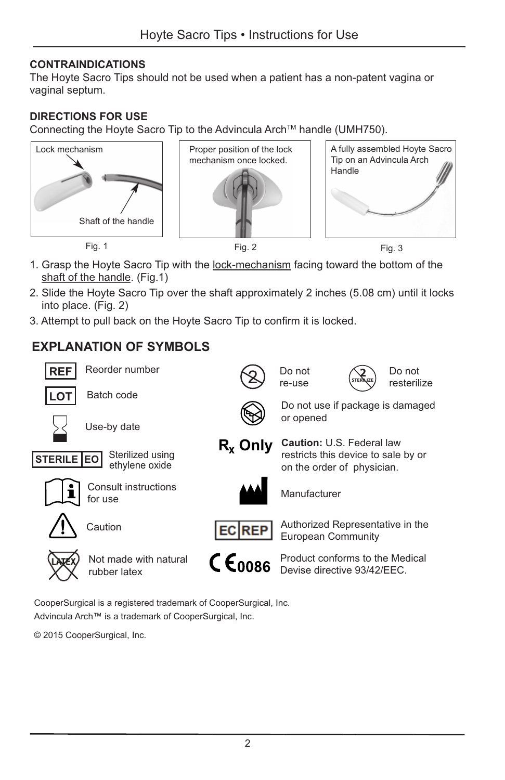## **CONTRAINDICATIONS**

The Hoyte Sacro Tips should not be used when a patient has a non-patent vagina or vaginal septum.

## **DIRECTIONS FOR USE**

Connecting the Hoyte Sacro Tip to the Advincula ArchTM handle (UMH750).







- 1. Grasp the Hoyte Sacro Tip with the lock-mechanism facing toward the bottom of the shaft of the handle. (Fig.1)
- 2. Slide the Hoyte Sacro Tip over the shaft approximately 2 inches (5.08 cm) until it locks into place. (Fig. 2)
- 3. Attempt to pull back on the Hoyte Sacro Tip to confirm it is locked.

## **EXPLANATION OF SYMBOLS**



CooperSurgical is a registered trademark of CooperSurgical, Inc. Advincula Arch™ is a trademark of CooperSurgical, Inc.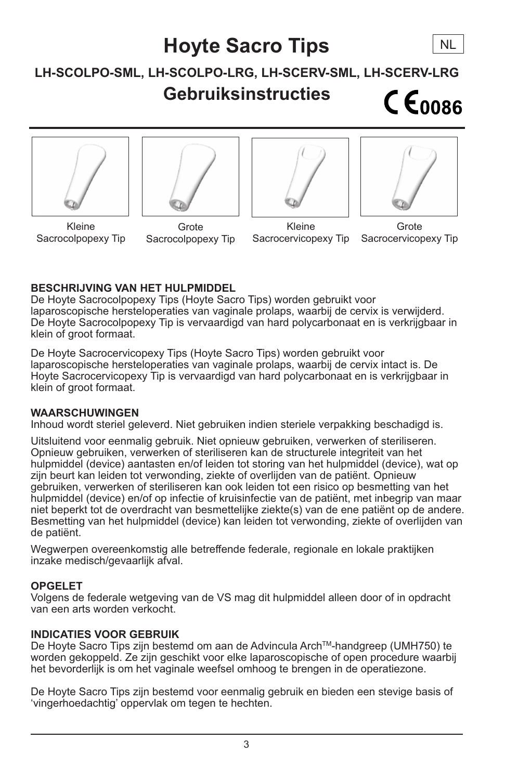## **Hoyte Sacro Tips**

## **LH-SCOLPO-SML, LH-SCOLPO-LRG, LH-SCERV-SML, LH-SCERV-LRG Gebruiksinstructies**  $C \epsilon_{0086}$









**NL** 

Kleine Sacrocolpopexy Tip

**Grote** Sacrocolpopexy Tip

Kleine Sacrocervicopexy Tip

Grote Sacrocervicopexy Tip

## **BESCHRIJVING VAN HET HULPMIDDEL**

De Hoyte Sacrocolpopexy Tips (Hoyte Sacro Tips) worden gebruikt voor laparoscopische hersteloperaties van vaginale prolaps, waarbij de cervix is verwijderd. De Hoyte Sacrocolpopexy Tip is vervaardigd van hard polycarbonaat en is verkrijgbaar in klein of groot formaat.

De Hoyte Sacrocervicopexy Tips (Hoyte Sacro Tips) worden gebruikt voor laparoscopische hersteloperaties van vaginale prolaps, waarbij de cervix intact is. De Hoyte Sacrocervicopexy Tip is vervaardigd van hard polycarbonaat en is verkrijgbaar in klein of groot formaat.

#### **WAARSCHUWINGEN**

Inhoud wordt steriel geleverd. Niet gebruiken indien steriele verpakking beschadigd is.

Uitsluitend voor eenmalig gebruik. Niet opnieuw gebruiken, verwerken of steriliseren. Opnieuw gebruiken, verwerken of steriliseren kan de structurele integriteit van het hulpmiddel (device) aantasten en/of leiden tot storing van het hulpmiddel (device), wat op zijn beurt kan leiden tot verwonding, ziekte of overlijden van de patiënt. Opnieuw gebruiken, verwerken of steriliseren kan ook leiden tot een risico op besmetting van het hulpmiddel (device) en/of op infectie of kruisinfectie van de patiënt, met inbegrip van maar niet beperkt tot de overdracht van besmettelijke ziekte(s) van de ene patiënt op de andere. Besmetting van het hulpmiddel (device) kan leiden tot verwonding, ziekte of overlijden van de patiënt.

Wegwerpen overeenkomstig alle betreffende federale, regionale en lokale praktijken inzake medisch/gevaarlijk afval.

## **OPGELET**

Volgens de federale wetgeving van de VS mag dit hulpmiddel alleen door of in opdracht van een arts worden verkocht.

## **INDICATIES VOOR GEBRUIK**

De Hoyte Sacro Tips zijn bestemd om aan de Advincula ArchTM-handgreep (UMH750) te worden gekoppeld. Ze zijn geschikt voor elke laparoscopische of open procedure waarbij het bevorderlijk is om het vaginale weefsel omhoog te brengen in de operatiezone.

De Hoyte Sacro Tips zijn bestemd voor eenmalig gebruik en bieden een stevige basis of 'vingerhoedachtig' oppervlak om tegen te hechten.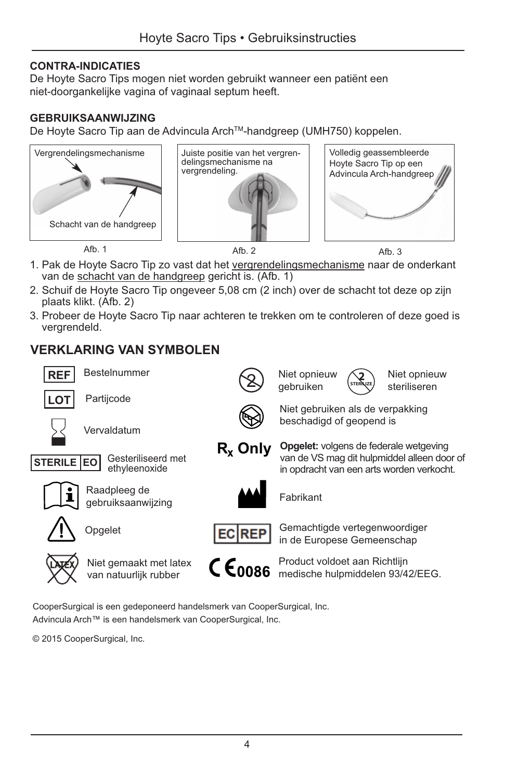## **CONTRA-INDICATIES**

De Hoyte Sacro Tips mogen niet worden gebruikt wanneer een patiënt een niet-doorgankelijke vagina of vaginaal septum heeft.

## **GEBRUIKSAANWIJZING**

De Hoyte Sacro Tip aan de Advincula Arch™-handgreep (UMH750) koppelen.







Afb. 1 Afb. 2 Afb. 2 Afb. 3

**2** Niet opnieuw steriliseren

- 1. Pak de Hoyte Sacro Tip zo vast dat het vergrendelingsmechanisme naar de onderkant van de schacht van de handgreep gericht is. (Afb. 1)
- 2. Schuif de Hoyte Sacro Tip ongeveer 5,08 cm (2 inch) over de schacht tot deze op zijn plaats klikt. (Afb. 2)
- 3. Probeer de Hoyte Sacro Tip naar achteren te trekken om te controleren of deze goed is vergrendeld.

2

## **VERKLARING VAN SYMBOLEN**





**Rx Only**

Fabrikant

Niet opnieuw gebruiken

Gemachtigde vertegenwoordiger in de Europese Gemeenschap

Niet gebruiken als de verpakking beschadigd of geopend is

**STERILIZE**

**Opgelet:** volgens de federale wetgeving van de VS mag dit hulpmiddel alleen door of in opdracht van een arts worden verkocht.



Product voldoet aan Richtlijn medische hulpmiddelen 93/42/EEG.

CooperSurgical is een gedeponeerd handelsmerk van CooperSurgical, Inc. Advincula Arch™ is een handelsmerk van CooperSurgical, Inc.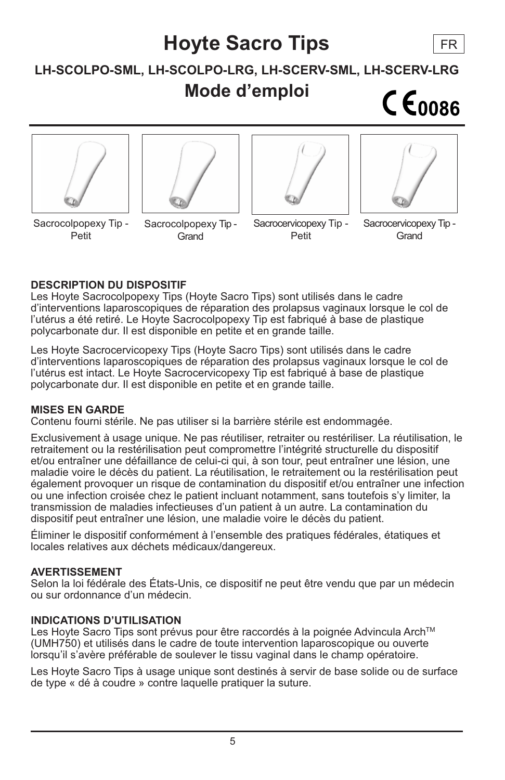# **Hoyte Sacro Tips** FR**LH-SCOLPO-SML, LH-SCOLPO-LRG, LH-SCERV-SML, LH-SCERV-LRG Mode d'emploi**  $CE<sub>0086</sub>$

Sacrocolpopexy Tip - Petit

Sacrocolpopexy Tip -

**Grand** 



Petit

Sacrocervicopexy Tip -

Grand

## **DESCRIPTION DU DISPOSITIF**

Les Hoyte Sacrocolpopexy Tips (Hoyte Sacro Tips) sont utilisés dans le cadre d'interventions laparoscopiques de réparation des prolapsus vaginaux lorsque le col de l'utérus a été retiré. Le Hoyte Sacrocolpopexy Tip est fabriqué à base de plastique polycarbonate dur. Il est disponible en petite et en grande taille.

Les Hoyte Sacrocervicopexy Tips (Hoyte Sacro Tips) sont utilisés dans le cadre d'interventions laparoscopiques de réparation des prolapsus vaginaux lorsque le col de l'utérus est intact. Le Hoyte Sacrocervicopexy Tip est fabriqué à base de plastique polycarbonate dur. Il est disponible en petite et en grande taille.

#### **MISES EN GARDE**

Contenu fourni stérile. Ne pas utiliser si la barrière stérile est endommagée.

Exclusivement à usage unique. Ne pas réutiliser, retraiter ou restériliser. La réutilisation, le retraitement ou la restérilisation peut compromettre l'intégrité structurelle du dispositif et/ou entraîner une défaillance de celui-ci qui, à son tour, peut entraîner une lésion, une maladie voire le décès du patient. La réutilisation, le retraitement ou la restérilisation peut également provoquer un risque de contamination du dispositif et/ou entraîner une infection ou une infection croisée chez le patient incluant notamment, sans toutefois s'y limiter, la transmission de maladies infectieuses d'un patient à un autre. La contamination du dispositif peut entraîner une lésion, une maladie voire le décès du patient.

Éliminer le dispositif conformément à l'ensemble des pratiques fédérales, étatiques et locales relatives aux déchets médicaux/dangereux.

## **AVERTISSEMENT**

Selon la loi fédérale des États-Unis, ce dispositif ne peut être vendu que par un médecin ou sur ordonnance d'un médecin.

## **INDICATIONS D'UTILISATION**

Les Hoyte Sacro Tips sont prévus pour être raccordés à la poignée Advincula Arch™ (UMH750) et utilisés dans le cadre de toute intervention laparoscopique ou ouverte lorsqu'il s'avère préférable de soulever le tissu vaginal dans le champ opératoire.

Les Hoyte Sacro Tips à usage unique sont destinés à servir de base solide ou de surface de type « dé à coudre » contre laquelle pratiquer la suture.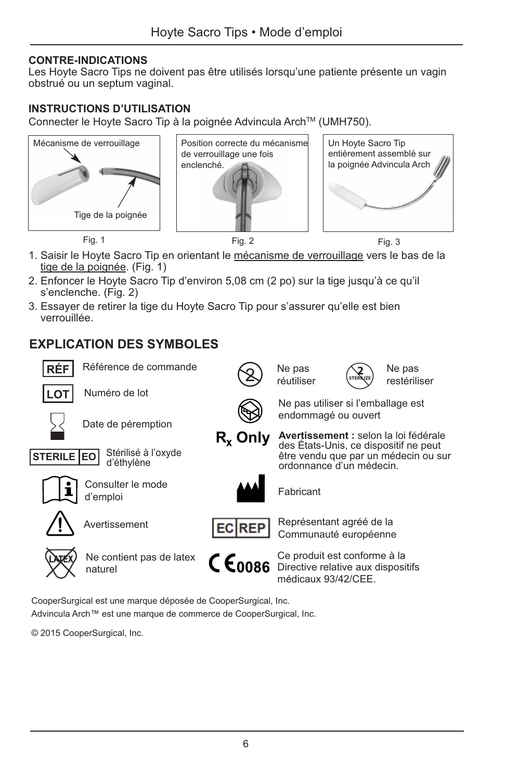#### **CONTRE-INDICATIONS**

Les Hoyte Sacro Tips ne doivent pas être utilisés lorsqu'une patiente présente un vagin obstrué ou un septum vaginal.

## **INSTRUCTIONS D'UTILISATION**

Connecter le Hovte Sacro Tip à la poignée Advincula Arch™ (UMH750).







- 
- 1. Saisir le Hoyte Sacro Tip en orientant le mécanisme de verrouillage vers le bas de la tige de la poignée. (Fig. 1)
- 2. Enfoncer le Hoyte Sacro Tip d'environ 5,08 cm (2 po) sur la tige jusqu'à ce qu'il s'enclenche. (Fig. 2)
- 3. Essayer de retirer la tige du Hoyte Sacro Tip pour s'assurer qu'elle est bien verrouillée.

## **EXPLICATION DES SYMBOLES**



CooperSurgical est une marque déposée de CooperSurgical, Inc. Advincula Arch™ est une marque de commerce de CooperSurgical, Inc.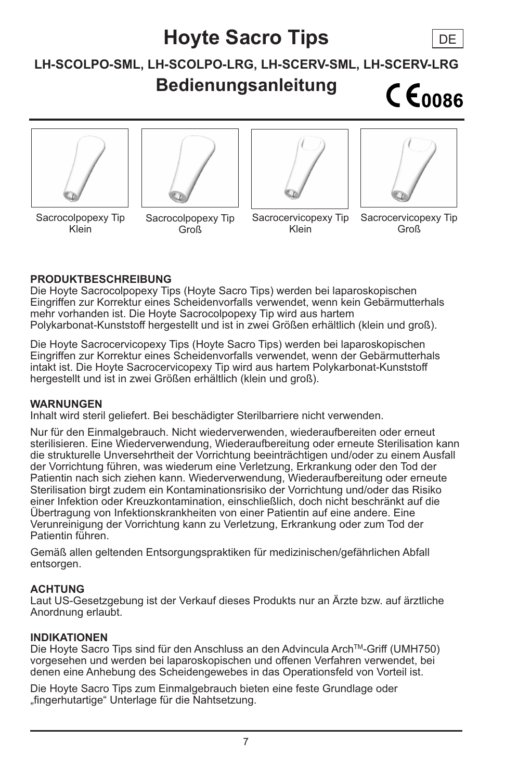## **Hoyte Sacro Tips**

## **LH-SCOLPO-SML, LH-SCOLPO-LRG, LH-SCERV-SML, LH-SCERV-LRG**

## **Bedienungsanleitung**

 $CE<sub>0086</sub>$ 

DE









Sacrocolpopexy Tip Klein

Sacrocolpopexy Tip Groß

Sacrocervicopexy Tip Klein

Sacrocervicopexy Tip Groß

## **PRODUKTBESCHREIBUNG**

Die Hoyte Sacrocolpopexy Tips (Hoyte Sacro Tips) werden bei laparoskopischen Eingriffen zur Korrektur eines Scheidenvorfalls verwendet, wenn kein Gebärmutterhals mehr vorhanden ist. Die Hoyte Sacrocolpopexy Tip wird aus hartem Polykarbonat-Kunststoff hergestellt und ist in zwei Größen erhältlich (klein und groß).

Die Hoyte Sacrocervicopexy Tips (Hoyte Sacro Tips) werden bei laparoskopischen Eingriffen zur Korrektur eines Scheidenvorfalls verwendet, wenn der Gebärmutterhals intakt ist. Die Hoyte Sacrocervicopexy Tip wird aus hartem Polykarbonat-Kunststoff hergestellt und ist in zwei Größen erhältlich (klein und groß).

#### **WARNUNGEN**

Inhalt wird steril geliefert. Bei beschädigter Sterilbarriere nicht verwenden.

Nur für den Einmalgebrauch. Nicht wiederverwenden, wiederaufbereiten oder erneut sterilisieren. Eine Wiederverwendung, Wiederaufbereitung oder erneute Sterilisation kann die strukturelle Unversehrtheit der Vorrichtung beeinträchtigen und/oder zu einem Ausfall der Vorrichtung führen, was wiederum eine Verletzung, Erkrankung oder den Tod der Patientin nach sich ziehen kann. Wiederverwendung, Wiederaufbereitung oder erneute Sterilisation birgt zudem ein Kontaminationsrisiko der Vorrichtung und/oder das Risiko einer Infektion oder Kreuzkontamination, einschließlich, doch nicht beschränkt auf die Übertragung von Infektionskrankheiten von einer Patientin auf eine andere. Eine Verunreinigung der Vorrichtung kann zu Verletzung, Erkrankung oder zum Tod der Patientin führen.

Gemäß allen geltenden Entsorgungspraktiken für medizinischen/gefährlichen Abfall entsorgen.

## **ACHTUNG**

Laut US-Gesetzgebung ist der Verkauf dieses Produkts nur an Ärzte bzw. auf ärztliche Anordnung erlaubt.

#### **INDIKATIONEN**

Die Hoyte Sacro Tips sind für den Anschluss an den Advincula ArchTM-Griff (UMH750) vorgesehen und werden bei laparoskopischen und offenen Verfahren verwendet, bei denen eine Anhebung des Scheidengewebes in das Operationsfeld von Vorteil ist.

Die Hoyte Sacro Tips zum Einmalgebrauch bieten eine feste Grundlage oder "fingerhutartige" Unterlage für die Nahtsetzung.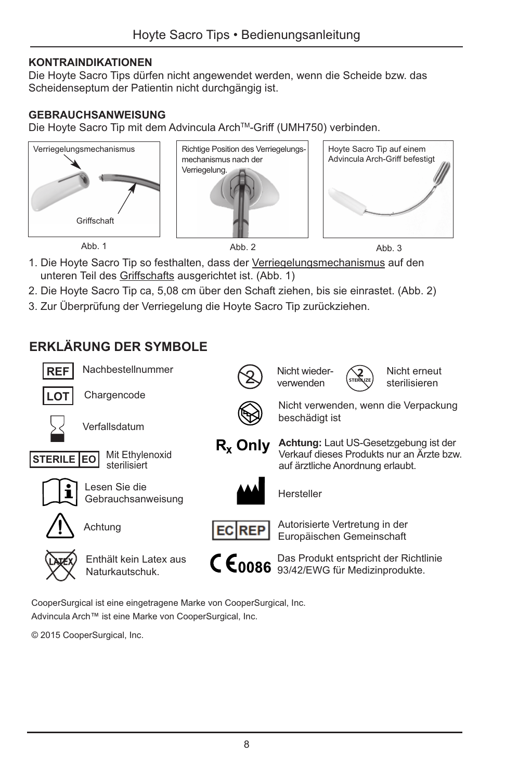## **KONTRAINDIKATIONEN**

Die Hoyte Sacro Tips dürfen nicht angewendet werden, wenn die Scheide bzw. das Scheidenseptum der Patientin nicht durchgängig ist.

## **GEBRAUCHSANWEISUNG**

Die Hoyte Sacro Tip mit dem Advincula Arch™-Griff (UMH750) verbinden.







Abb. 1 Abb. 2 Abb. 2 Abb. 3

- 1. Die Hoyte Sacro Tip so festhalten, dass der Verriegelungsmechanismus auf den unteren Teil des Griffschafts ausgerichtet ist. (Abb. 1)
- 2. Die Hoyte Sacro Tip ca, 5,08 cm über den Schaft ziehen, bis sie einrastet. (Abb. 2)
- 3. Zur Überprüfung der Verriegelung die Hoyte Sacro Tip zurückziehen.

## **ERKLÄRUNG DER SYMBOLE**



CooperSurgical ist eine eingetragene Marke von CooperSurgical, Inc. Advincula Arch™ ist eine Marke von CooperSurgical, Inc.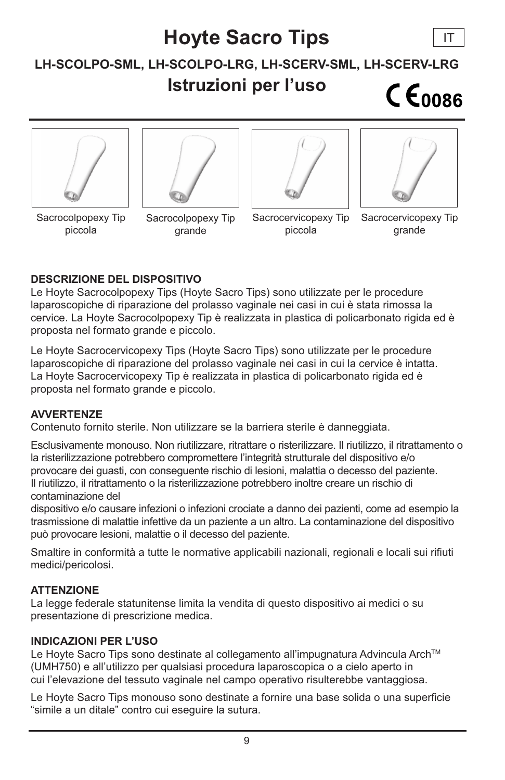## **Hoyte Sacro Tips**

## **LH-SCOLPO-SML, LH-SCOLPO-LRG, LH-SCERV-SML, LH-SCERV-LRG Istruzioni per l'uso**  $C \epsilon_{0086}$









IT

Sacrocolpopexy Tip piccola

Sacrocolpopexy Tip grande

Sacrocervicopexy Tip piccola

Sacrocervicopexy Tip grande

## **DESCRIZIONE DEL DISPOSITIVO**

Le Hoyte Sacrocolpopexy Tips (Hoyte Sacro Tips) sono utilizzate per le procedure laparoscopiche di riparazione del prolasso vaginale nei casi in cui è stata rimossa la cervice. La Hoyte Sacrocolpopexy Tip è realizzata in plastica di policarbonato rigida ed è proposta nel formato grande e piccolo.

Le Hoyte Sacrocervicopexy Tips (Hoyte Sacro Tips) sono utilizzate per le procedure laparoscopiche di riparazione del prolasso vaginale nei casi in cui la cervice è intatta. La Hoyte Sacrocervicopexy Tip è realizzata in plastica di policarbonato rigida ed è proposta nel formato grande e piccolo.

## **AVVERTENZE**

Contenuto fornito sterile. Non utilizzare se la barriera sterile è danneggiata.

Esclusivamente monouso. Non riutilizzare, ritrattare o risterilizzare. Il riutilizzo, il ritrattamento o la risterilizzazione potrebbero compromettere l'integrità strutturale del dispositivo e/o provocare dei guasti, con conseguente rischio di lesioni, malattia o decesso del paziente. Il riutilizzo, il ritrattamento o la risterilizzazione potrebbero inoltre creare un rischio di contaminazione del

dispositivo e/o causare infezioni o infezioni crociate a danno dei pazienti, come ad esempio la trasmissione di malattie infettive da un paziente a un altro. La contaminazione del dispositivo può provocare lesioni, malattie o il decesso del paziente.

Smaltire in conformità a tutte le normative applicabili nazionali, regionali e locali sui rifiuti medici/pericolosi.

## **ATTENZIONE**

La legge federale statunitense limita la vendita di questo dispositivo ai medici o su presentazione di prescrizione medica.

## **INDICAZIONI PER L'USO**

Le Hoyte Sacro Tips sono destinate al collegamento all'impugnatura Advincula Arch™ (UMH750) e all'utilizzo per qualsiasi procedura laparoscopica o a cielo aperto in cui l'elevazione del tessuto vaginale nel campo operativo risulterebbe vantaggiosa.

Le Hoyte Sacro Tips monouso sono destinate a fornire una base solida o una superficie "simile a un ditale" contro cui eseguire la sutura.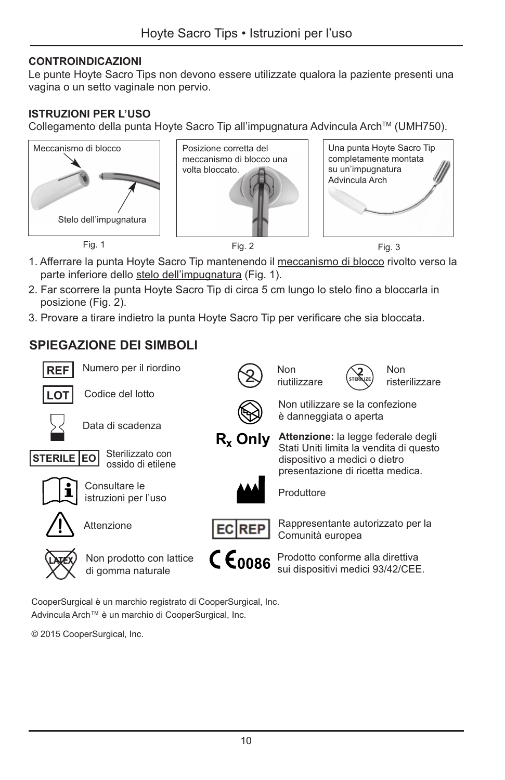## **CONTROINDICAZIONI**

Le punte Hoyte Sacro Tips non devono essere utilizzate qualora la paziente presenti una vagina o un setto vaginale non pervio.

#### **ISTRUZIONI PER L'USO**

Collegamento della punta Hoyte Sacro Tip all'impugnatura Advincula Arch™ (UMH750).







- 1. Afferrare la punta Hoyte Sacro Tip mantenendo il meccanismo di blocco rivolto verso la parte inferiore dello stelo dell'impugnatura (Fig. 1).
- 2. Far scorrere la punta Hoyte Sacro Tip di circa 5 cm lungo lo stelo fino a bloccarla in posizione (Fig. 2).
- 3. Provare a tirare indietro la punta Hoyte Sacro Tip per verificare che sia bloccata.

## **SPIEGAZIONE DEI SIMBOLI**



CooperSurgical è un marchio registrato di CooperSurgical, Inc. Advincula Arch™ è un marchio di CooperSurgical, Inc.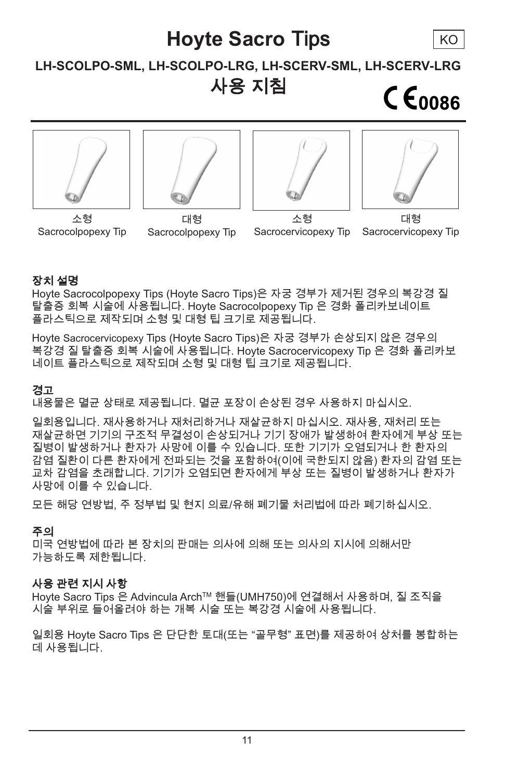## **Hoyte Sacro** Tips KO**LH-SCOLPO-SML, LH-SCOLPO-LRG, LH-SCERV-SML, LH-SCERV-LRG** 사용 지침  $CE<sub>0086</sub>$









소형 Sacrocolpopexy Tip

대형 Sacrocolpopexy Tip

소형 Sacrocervicopexy Tip

대형 Sacrocervicopexy Tip

## 장치 설명

Hoyte Sacrocolpopexy Tips (Hoyte Sacro Tips)은 자궁 경부가 제거된 경우의 복강경 질 탈출증 회복 시술에 사용됩니다. Hoyte Sacrocolpopexy Tip 은 경화 폴리카보네이트 플라스틱으로 제작되며 소형 및 대형 팁 크기로 제공됩니다.

Hoyte Sacrocervicopexy Tips (Hoyte Sacro Tips)은 자궁 경부가 손상되지 않은 경우의 복강경 질 탈출증 회복 시술에 사용됩니다. Hoyte Sacrocervicopexy Tip 은 경화 폴리카보 네이트 플라스틱으로 제작되며 소형 및 대형 팁 크기로 제공됩니다.

## 경고

내용물은 멸균 상태로 제공됩니다. 멸균 포장이 손상된 경우 사용하지 마십시오.

일회용입니다. 재사용하거나 재처리하거나 재살균하지 마십시오. 재사용, 재처리 또는 재살균하면 기기의 구조적 무결성이 손상되거나 기기 장애가 발생하여 환자에게 부상 또는 질병이 발생하거나 환자가 사망에 이를 수 있습니다. 또한 기기가 오염되거나 한 환자의 감염 질환이 다른 환자에게 전파되는 것을 포함하여(이에 국한되지 않음) 환자의 감염 또는 교차 감염을 초래합니다. 기기가 오염되면 환자에게 부상 또는 질병이 발생하거나 환자가 사망에 이를 수 있습니다.

모든 해당 연방법, 주 정부법 및 현지 의료/유해 폐기물 처리법에 따라 폐기하십시오.

## 주의

미국 연방법에 따라 본 장치의 판매는 의사에 의해 또는 의사의 지시에 의해서만 가능하도록 제한됩니다.

## 사용 관련 지시 사항

Hoyte Sacro Tips 은 Advincula ArchTM 핸들(UMH750)에 연결해서 사용하며, 질 조직을 시술 부위로 들어올려야 하는 개복 시술 또는 복강경 시술에 사용됩니다.

일회용 Hoyte Sacro Tips 은 단단한 토대(또는 "골무형" 표면)를 제공하여 상처를 봉합하는 데 사용됩니다.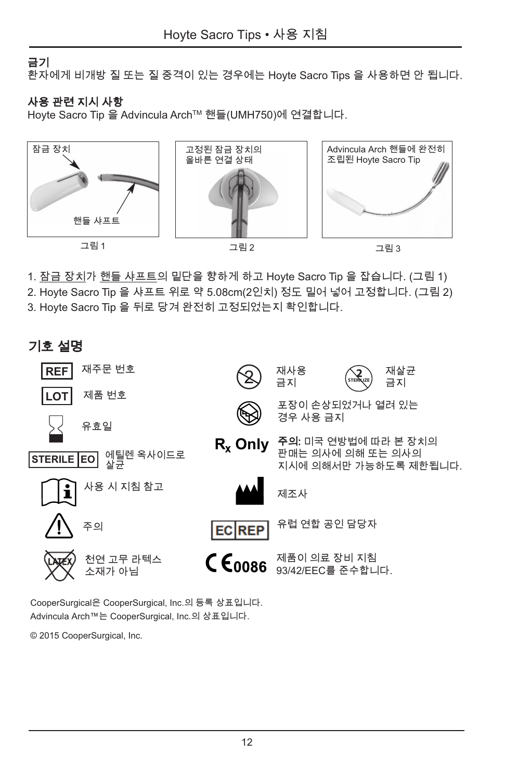## 금기

환자에게 비개방 질 또는 질 중격이 있는 경우에는 Hoyte Sacro Tips 을 사용하면 안 됩니다.

## 사용 관련 지시 사항

Hoyte Sacro Tip 을 Advincula ArchTM 핸들(UMH750)에 연결합니다.



1. <u>잠금 장치가 핸들 샤프트</u>의 밑단을 향하게 하고 Hoyte Sacro Tip 을 잡습니다. (그림 1)

2. Hoyte Sacro Tip 을 샤프트 위로 약 5.08cm(2인치) 정도 밀어 넣어 고정합니다. (그림 2) 3. Hoyte Sacro Tip 을 뒤로 당겨 완전히 고정되었는지 확인합니다.



CooperSurgical은 CooperSurgical, Inc.의 등록 상표입니다. Advincula Arch™는 CooperSurgical, Inc.의 상표입니다.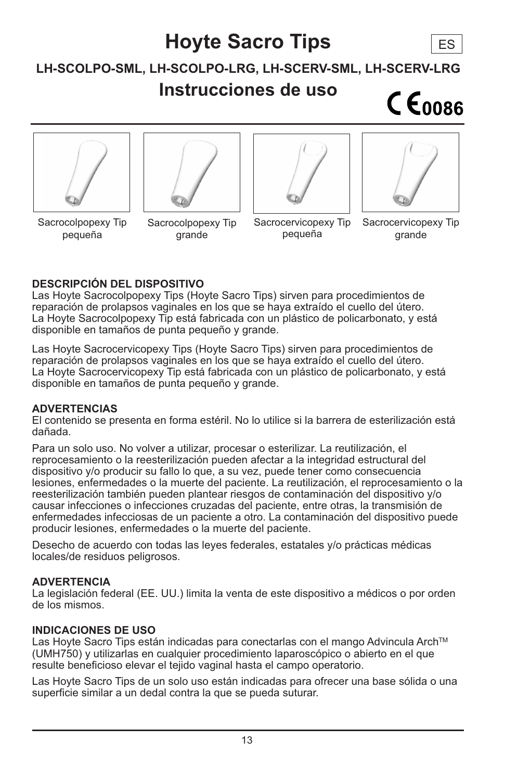## **Hoyte Sacro Tips** ES**LH-SCOLPO-SML, LH-SCOLPO-LRG, LH-SCERV-SML, LH-SCERV-LRG Instrucciones de uso**  $C \epsilon_{0086}$









Sacrocolpopexy Tip pequeña

Sacrocolpopexy Tip grande

Sacrocervicopexy Tip pequeña

Sacrocervicopexy Tip grande

## **DESCRIPCIÓN DEL DISPOSITIVO**

Las Hoyte Sacrocolpopexy Tips (Hoyte Sacro Tips) sirven para procedimientos de reparación de prolapsos vaginales en los que se haya extraído el cuello del útero. La Hoyte Sacrocolpopexy Tip está fabricada con un plástico de policarbonato, y está disponible en tamaños de punta pequeño y grande.

Las Hoyte Sacrocervicopexy Tips (Hoyte Sacro Tips) sirven para procedimientos de reparación de prolapsos vaginales en los que se haya extraído el cuello del útero. La Hoyte Sacrocervicopexy Tip está fabricada con un plástico de policarbonato, y está disponible en tamaños de punta pequeño y grande.

#### **ADVERTENCIAS**

El contenido se presenta en forma estéril. No lo utilice si la barrera de esterilización está dañada.

Para un solo uso. No volver a utilizar, procesar o esterilizar. La reutilización, el reprocesamiento o la reesterilización pueden afectar a la integridad estructural del dispositivo y/o producir su fallo lo que, a su vez, puede tener como consecuencia lesiones, enfermedades o la muerte del paciente. La reutilización, el reprocesamiento o la reesterilización también pueden plantear riesgos de contaminación del dispositivo y/o causar infecciones o infecciones cruzadas del paciente, entre otras, la transmisión de enfermedades infecciosas de un paciente a otro. La contaminación del dispositivo puede producir lesiones, enfermedades o la muerte del paciente.

Desecho de acuerdo con todas las leyes federales, estatales y/o prácticas médicas locales/de residuos peligrosos.

## **ADVERTENCIA**

La legislación federal (EE. UU.) limita la venta de este dispositivo a médicos o por orden de los mismos.

## **INDICACIONES DE USO**

Las Hoyte Sacro Tips están indicadas para conectarlas con el mango Advincula Arch™ (UMH750) y utilizarlas en cualquier procedimiento laparoscópico o abierto en el que resulte beneficioso elevar el tejido vaginal hasta el campo operatorio.

Las Hoyte Sacro Tips de un solo uso están indicadas para ofrecer una base sólida o una superficie similar a un dedal contra la que se pueda suturar.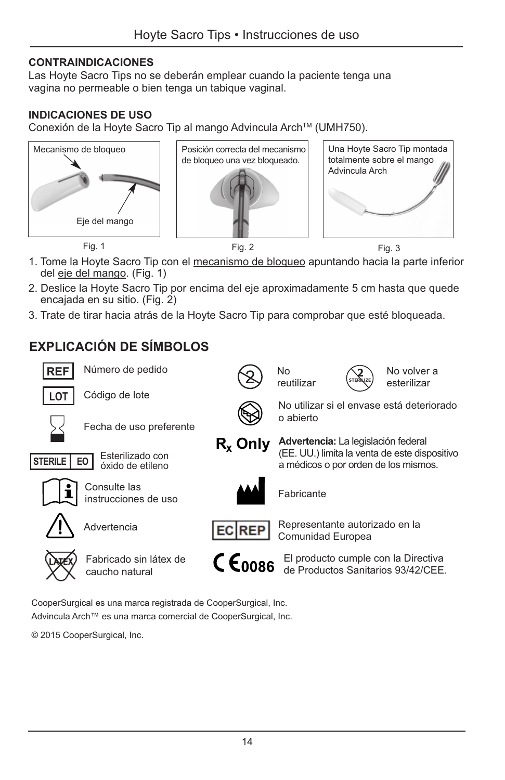## **CONTRAINDICACIONES**

Las Hoyte Sacro Tips no se deberán emplear cuando la paciente tenga una vagina no permeable o bien tenga un tabique vaginal.

## **INDICACIONES DE USO**

Conexión de la Hoyte Sacro Tip al mango Advincula Arch™ (UMH750).







- 1. Tome la Hoyte Sacro Tip con el mecanismo de bloqueo apuntando hacia la parte inferior del eje del mango. (Fig. 1)
- 2. Deslice la Hoyte Sacro Tip por encima del eje aproximadamente 5 cm hasta que quede encajada en su sitio. (Fig. 2)
- 3. Trate de tirar hacia atrás de la Hoyte Sacro Tip para comprobar que esté bloqueada.

## **EXPLICACIÓN DE SÍMBOLOS**



CooperSurgical es una marca registrada de CooperSurgical, Inc. Advincula Arch™ es una marca comercial de CooperSurgical, Inc.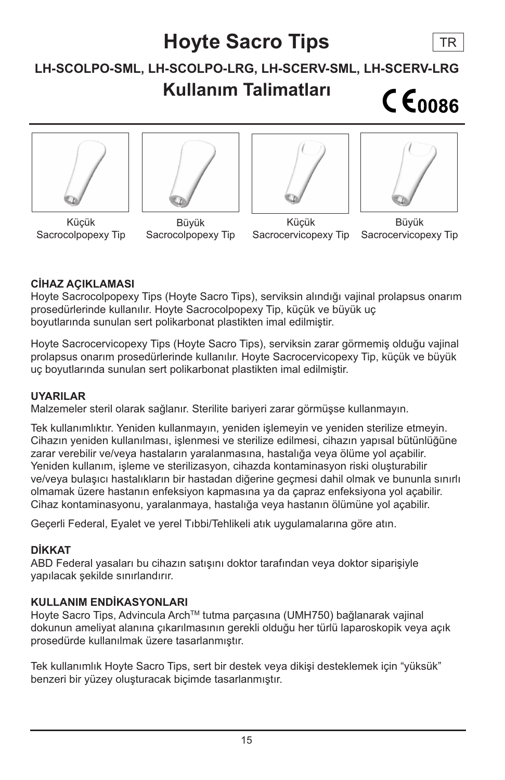## **Hoyte Sacro Tips** TR**LH-SCOLPO-SML, LH-SCOLPO-LRG, LH-SCERV-SML, LH-SCERV-LRG Kullanım Talimatları**  $CE<sub>0086</sub>$









Küçük Sacrocolpopexy Tip

Büyük Sacrocolpopexy Tip

Küçük Sacrocervicopexy Tip

Büyük Sacrocervicopexy Tip

## **CİHAZ AÇIKLAMASI**

Hoyte Sacrocolpopexy Tips (Hoyte Sacro Tips), serviksin alındığı vajinal prolapsus onarım prosedürlerinde kullanılır. Hoyte Sacrocolpopexy Tip, küçük ve büyük uç boyutlarında sunulan sert polikarbonat plastikten imal edilmiştir.

Hoyte Sacrocervicopexy Tips (Hoyte Sacro Tips), serviksin zarar görmemiş olduğu vajinal prolapsus onarım prosedürlerinde kullanılır. Hoyte Sacrocervicopexy Tip, küçük ve büyük uç boyutlarında sunulan sert polikarbonat plastikten imal edilmiştir.

#### **UYARILAR**

Malzemeler steril olarak sağlanır. Sterilite bariyeri zarar görmüşse kullanmayın.

Tek kullanımlıktır. Yeniden kullanmayın, yeniden işlemeyin ve yeniden sterilize etmeyin. Cihazın yeniden kullanılması, işlenmesi ve sterilize edilmesi, cihazın yapısal bütünlüğüne zarar verebilir ve/veya hastaların yaralanmasına, hastalığa veya ölüme yol açabilir. Yeniden kullanım, işleme ve sterilizasyon, cihazda kontaminasyon riski oluşturabilir ve/veya bulaşıcı hastalıkların bir hastadan diğerine geçmesi dahil olmak ve bununla sınırlı olmamak üzere hastanın enfeksiyon kapmasına ya da çapraz enfeksiyona yol açabilir. Cihaz kontaminasyonu, yaralanmaya, hastalığa veya hastanın ölümüne yol açabilir.

Geçerli Federal, Eyalet ve yerel Tıbbi/Tehlikeli atık uygulamalarına göre atın.

## **DİKKAT**

ABD Federal yasaları bu cihazın satışını doktor tarafından veya doktor siparişiyle yapılacak şekilde sınırlandırır.

## **KULLANIM ENDİKASYONLARI**

Hoyte Sacro Tips, Advincula ArchTM tutma parçasına (UMH750) bağlanarak vajinal dokunun ameliyat alanına çıkarılmasının gerekli olduğu her türlü laparoskopik veya açık prosedürde kullanılmak üzere tasarlanmıştır.

Tek kullanımlık Hoyte Sacro Tips, sert bir destek veya dikişi desteklemek için "yüksük" benzeri bir yüzey oluşturacak biçimde tasarlanmıştır.